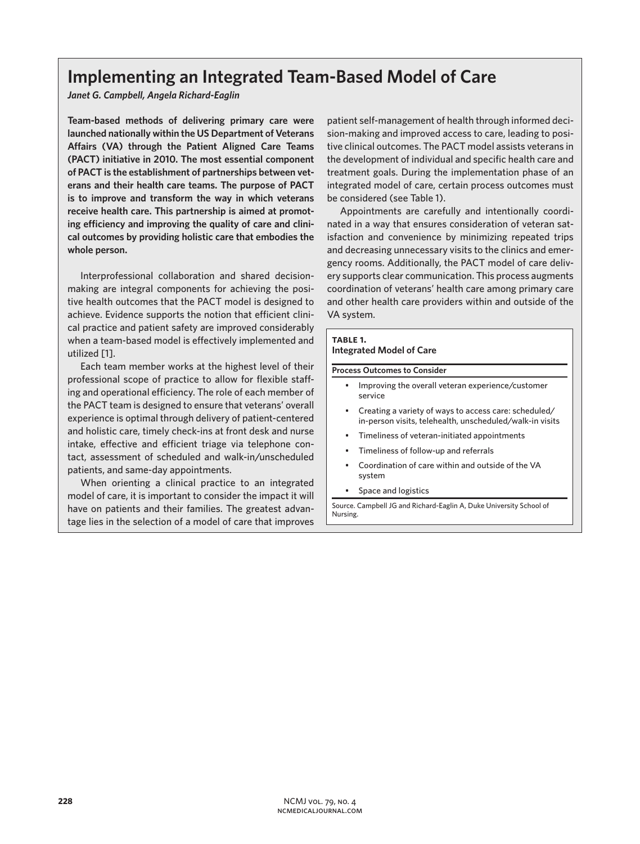# **Implementing an Integrated Team-Based Model of Care**

*Janet G. Campbell, Angela Richard-Eaglin*

**Team-based methods of delivering primary care were launched nationally within the US Department of Veterans Affairs (VA) through the Patient Aligned Care Teams (PACT) initiative in 2010. The most essential component of PACT is the establishment of partnerships between veterans and their health care teams. The purpose of PACT is to improve and transform the way in which veterans receive health care. This partnership is aimed at promoting efficiency and improving the quality of care and clinical outcomes by providing holistic care that embodies the whole person.**

Interprofessional collaboration and shared decisionmaking are integral components for achieving the positive health outcomes that the PACT model is designed to achieve. Evidence supports the notion that efficient clinical practice and patient safety are improved considerably when a team-based model is effectively implemented and utilized [1].

Each team member works at the highest level of their professional scope of practice to allow for flexible staffing and operational efficiency. The role of each member of the PACT team is designed to ensure that veterans' overall experience is optimal through delivery of patient-centered and holistic care, timely check-ins at front desk and nurse intake, effective and efficient triage via telephone contact, assessment of scheduled and walk-in/unscheduled patients, and same-day appointments.

When orienting a clinical practice to an integrated model of care, it is important to consider the impact it will have on patients and their families. The greatest advantage lies in the selection of a model of care that improves

patient self-management of health through informed decision-making and improved access to care, leading to positive clinical outcomes. The PACT model assists veterans in the development of individual and specific health care and treatment goals. During the implementation phase of an integrated model of care, certain process outcomes must be considered (see Table 1).

Appointments are carefully and intentionally coordinated in a way that ensures consideration of veteran satisfaction and convenience by minimizing repeated trips and decreasing unnecessary visits to the clinics and emergency rooms. Additionally, the PACT model of care delivery supports clear communication. This process augments coordination of veterans' health care among primary care and other health care providers within and outside of the VA system.

### **table 1.**

## **Integrated Model of Care**

#### **Process Outcomes to Consider**

- Improving the overall veteran experience/customer service
- Creating a variety of ways to access care: scheduled/ in-person visits, telehealth, unscheduled/walk-in visits
- Timeliness of veteran-initiated appointments
- Timeliness of follow-up and referrals
- Coordination of care within and outside of the VA system
- Space and logistics

Source. Campbell JG and Richard-Eaglin A, Duke University School of Nursing.